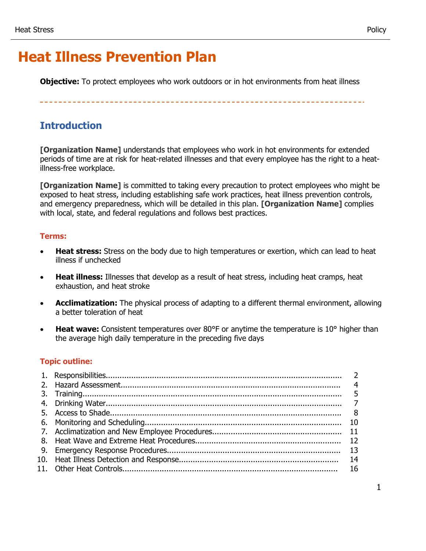**Objective:** To protect employees who work outdoors or in hot environments from heat illness

## **Introduction**

**[Organization Name]** understands that employees who work in hot environments for extended periods of time are at risk for heat-related illnesses and that every employee has the right to a heatillness-free workplace.

**[Organization Name]** is committed to taking every precaution to protect employees who might be exposed to heat stress, including establishing safe work practices, heat illness prevention controls, and emergency preparedness, which will be detailed in this plan. **[Organization Name]** complies with local, state, and federal regulations and follows best practices.

### **Terms:**

- **Heat stress:** Stress on the body due to high temperatures or exertion, which can lead to heat illness if unchecked
- **Heat illness:** Illnesses that develop as a result of heat stress, including heat cramps, heat exhaustion, and heat stroke
- **Acclimatization:** The physical process of adapting to a different thermal environment, allowing a better toleration of heat
- **Heat wave:** Consistent temperatures over 80°F or anytime the temperature is 10° higher than the average high daily temperature in the preceding five days

## **Topic outline:**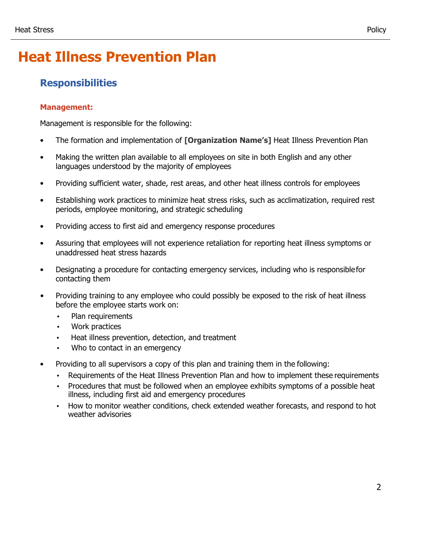## **Responsibilities**

## **Management:**

Management is responsible for the following:

- The formation and implementation of **[Organization Name's]** Heat Illness Prevention Plan
- Making the written plan available to all employees on site in both English and any other languages understood by the majority of employees
- Providing sufficient water, shade, rest areas, and other heat illness controls for employees
- Establishing work practices to minimize heat stress risks, such as acclimatization, required rest periods, employee monitoring, and strategic scheduling
- Providing access to first aid and emergency response procedures
- Assuring that employees will not experience retaliation for reporting heat illness symptoms or unaddressed heat stress hazards
- Designating a procedure for contacting emergency services, including who is responsiblefor contacting them
- Providing training to any employee who could possibly be exposed to the risk of heat illness before the employee starts work on:
	- Plan requirements
	- Work practices
	- Heat illness prevention, detection, and treatment
	- Who to contact in an emergency
- Providing to all supervisors a copy of this plan and training them in the following:
	- Requirements of the Heat Illness Prevention Plan and how to implement these requirements
	- Procedures that must be followed when an employee exhibits symptoms of a possible heat illness, including first aid and emergency procedures
	- How to monitor weather conditions, check extended weather forecasts, and respond to hot weather advisories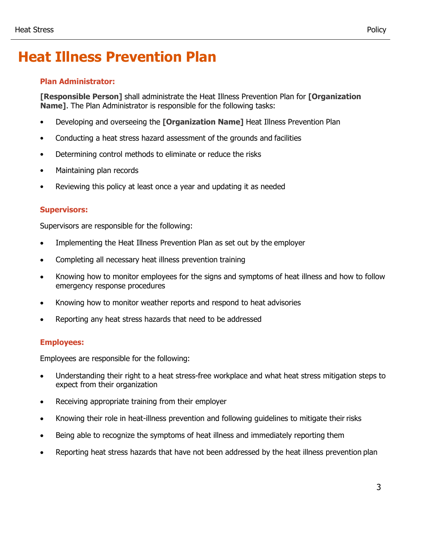### **Plan Administrator:**

**[Responsible Person]** shall administrate the Heat Illness Prevention Plan for **[Organization Name]**. The Plan Administrator is responsible for the following tasks:

- Developing and overseeing the **[Organization Name]** Heat Illness Prevention Plan
- Conducting a heat stress hazard assessment of the grounds and facilities
- Determining control methods to eliminate or reduce the risks
- Maintaining plan records
- Reviewing this policy at least once a year and updating it as needed

### **Supervisors:**

Supervisors are responsible for the following:

- Implementing the Heat Illness Prevention Plan as set out by the employer
- Completing all necessary heat illness prevention training
- Knowing how to monitor employees for the signs and symptoms of heat illness and how to follow emergency response procedures
- Knowing how to monitor weather reports and respond to heat advisories
- Reporting any heat stress hazards that need to be addressed

### **Employees:**

Employees are responsible for the following:

- Understanding their right to a heat stress-free workplace and what heat stress mitigation steps to expect from their organization
- Receiving appropriate training from their employer
- Knowing their role in heat-illness prevention and following guidelines to mitigate their risks
- Being able to recognize the symptoms of heat illness and immediately reporting them
- Reporting heat stress hazards that have not been addressed by the heat illness prevention plan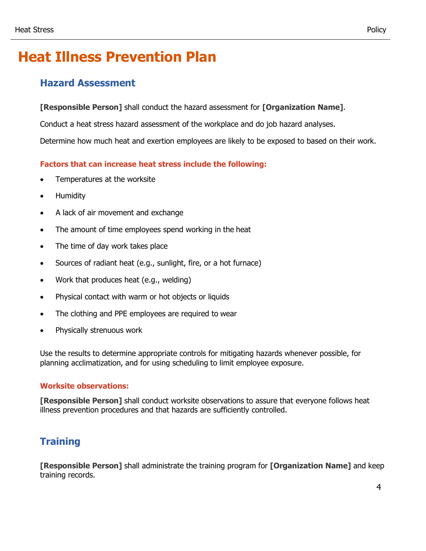## **Hazard Assessment**

**[Responsible Person]** shall conduct the hazard assessment for **[Organization Name]**.

Conduct a heat stress hazard assessment of the workplace and do job hazard analyses.

Determine how much heat and exertion employees are likely to be exposed to based on their work.

## **Factors that can increase heat stress include the following:**

- Temperatures at the worksite
- Humidity
- A lack of air movement and exchange
- The amount of time employees spend working in the heat
- The time of day work takes place
- Sources of radiant heat (e.g., sunlight, fire, or a hot furnace)
- Work that produces heat (e.g., welding)
- Physical contact with warm or hot objects or liquids
- The clothing and PPE employees are required to wear
- Physically strenuous work

Use the results to determine appropriate controls for mitigating hazards whenever possible, for planning acclimatization, and for using scheduling to limit employee exposure.

### **Worksite observations:**

**[Responsible Person]** shall conduct worksite observations to assure that everyone follows heat illness prevention procedures and that hazards are sufficiently controlled.

## **Training**

**[Responsible Person]** shall administrate the training program for **[Organization Name]** and keep training records.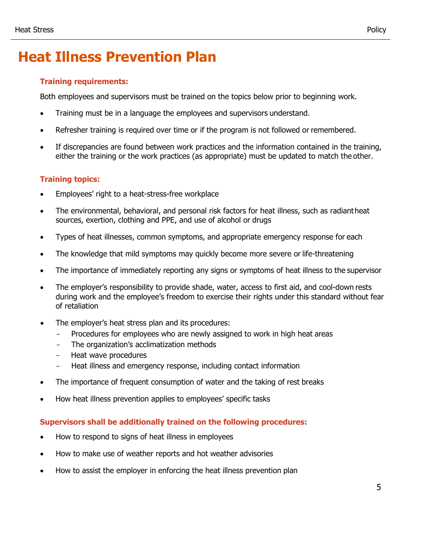## **Training requirements:**

Both employees and supervisors must be trained on the topics below prior to beginning work.

- Training must be in a language the employees and supervisors understand.
- Refresher training is required over time or if the program is not followed or remembered.
- If discrepancies are found between work practices and the information contained in the training, either the training or the work practices (as appropriate) must be updated to match the other.

## **Training topics:**

- Employees' right to a heat-stress-free workplace
- The environmental, behavioral, and personal risk factors for heat illness, such as radiantheat sources, exertion, clothing and PPE, and use of alcohol or drugs
- Types of heat illnesses, common symptoms, and appropriate emergency response for each
- The knowledge that mild symptoms may quickly become more severe or life-threatening
- The importance of immediately reporting any signs or symptoms of heat illness to the supervisor
- The employer's responsibility to provide shade, water, access to first aid, and cool-down rests during work and the employee's freedom to exercise their rights under this standard without fear of retaliation
- The employer's heat stress plan and its procedures:
	- Procedures for employees who are newly assigned to work in high heat areas
	- The organization's acclimatization methods
	- Heat wave procedures
	- Heat illness and emergency response, including contact information
- The importance of frequent consumption of water and the taking of rest breaks
- How heat illness prevention applies to employees' specific tasks

## **Supervisors shall be additionally trained on the following procedures:**

- How to respond to signs of heat illness in employees
- How to make use of weather reports and hot weather advisories
- How to assist the employer in enforcing the heat illness prevention plan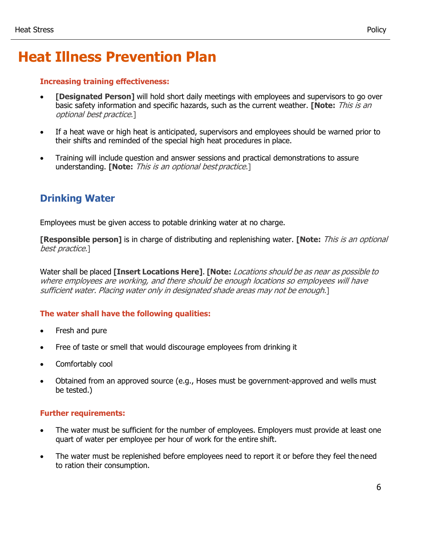### **Increasing training effectiveness:**

- **[Designated Person]** will hold short daily meetings with employees and supervisors to go over basic safety information and specific hazards, such as the current weather. **[Note:** This is an optional best practice.]
- If a heat wave or high heat is anticipated, supervisors and employees should be warned prior to their shifts and reminded of the special high heat procedures in place.
- Training will include question and answer sessions and practical demonstrations to assure understanding. **[Note:** This is an optional bestpractice.]

## **Drinking Water**

Employees must be given access to potable drinking water at no charge.

**[Responsible person]** is in charge of distributing and replenishing water. **[Note:** This is an optional best practice.]

Water shall be placed **[Insert Locations Here]**. **[Note:** Locations should be as near as possible to where employees are working, and there should be enough locations so employees will have sufficient water. Placing water only in designated shade areas may not be enough.]

## **The water shall have the following qualities:**

- Fresh and pure
- Free of taste or smell that would discourage employees from drinking it
- Comfortably cool
- Obtained from an approved source (e.g., Hoses must be government-approved and wells must be tested.)

### **Further requirements:**

- The water must be sufficient for the number of employees. Employers must provide at least one quart of water per employee per hour of work for the entire shift.
- The water must be replenished before employees need to report it or before they feel the need to ration their consumption.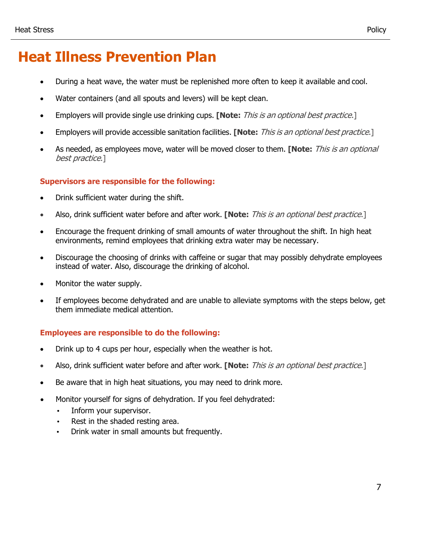- During a heat wave, the water must be replenished more often to keep it available and cool.
- Water containers (and all spouts and levers) will be kept clean.
- Employers will provide single use drinking cups. **[Note:** This is an optional best practice.]
- Employers will provide accessible sanitation facilities. **[Note:** This is an optional best practice.]
- As needed, as employees move, water will be moved closer to them. **[Note:** This is an optional best practice.]

### **Supervisors are responsible for the following:**

- Drink sufficient water during the shift.
- Also, drink sufficient water before and after work. **[Note:** This is an optional best practice.]
- Encourage the frequent drinking of small amounts of water throughout the shift. In high heat environments, remind employees that drinking extra water may be necessary.
- Discourage the choosing of drinks with caffeine or sugar that may possibly dehydrate employees instead of water. Also, discourage the drinking of alcohol.
- Monitor the water supply.
- If employees become dehydrated and are unable to alleviate symptoms with the steps below, get them immediate medical attention.

### **Employees are responsible to do the following:**

- Drink up to 4 cups per hour, especially when the weather is hot.
- Also, drink sufficient water before and after work. **[Note:** This is an optional best practice.]
- Be aware that in high heat situations, you may need to drink more.
- Monitor yourself for signs of dehydration. If you feel dehydrated:
	- Inform your supervisor.
	- Rest in the shaded resting area.
	- Drink water in small amounts but frequently.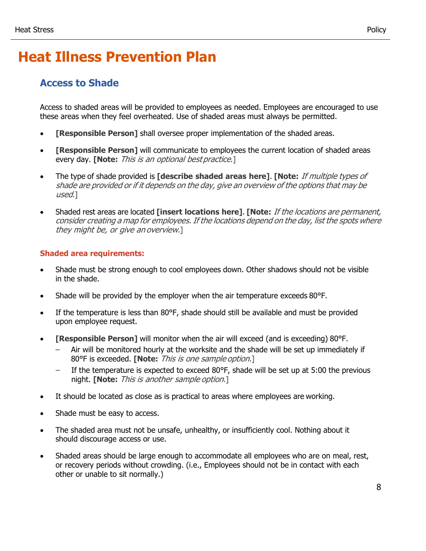## **Access to Shade**

Access to shaded areas will be provided to employees as needed. Employees are encouraged to use these areas when they feel overheated. Use of shaded areas must always be permitted.

- **[Responsible Person]** shall oversee proper implementation of the shaded areas.
- **[Responsible Person]** will communicate to employees the current location of shaded areas every day. **[Note:** This is an optional bestpractice.]
- The type of shade provided is **[describe shaded areas here]**. **[Note:** If multiple types of shade are provided or if it depends on the day, give an overview of the options that may be used.]
- Shaded rest areas are located **[insert locations here]**. **[Note:** If the locations are permanent, consider creating <sup>a</sup> map for employees. If the locations depend on the day, list the spots where they might be, or give an overview.]

## **Shaded area requirements:**

- Shade must be strong enough to cool employees down. Other shadows should not be visible in the shade.
- Shade will be provided by the employer when the air temperature exceeds 80°F.
- If the temperature is less than 80°F, shade should still be available and must be provided upon employee request.
- **[Responsible Person]** will monitor when the air will exceed (and is exceeding) 80°F.
	- Air will be monitored hourly at the worksite and the shade will be set up immediately if 80°F is exceeded. **[Note:** This is one sample option.]
	- If the temperature is expected to exceed 80°F, shade will be set up at 5:00 the previous night. **[Note:** This is another sample option.]
- It should be located as close as is practical to areas where employees are working.
- Shade must be easy to access.
- The shaded area must not be unsafe, unhealthy, or insufficiently cool. Nothing about it should discourage access or use.
- Shaded areas should be large enough to accommodate all employees who are on meal, rest, or recovery periods without crowding. (i.e., Employees should not be in contact with each other or unable to sit normally.)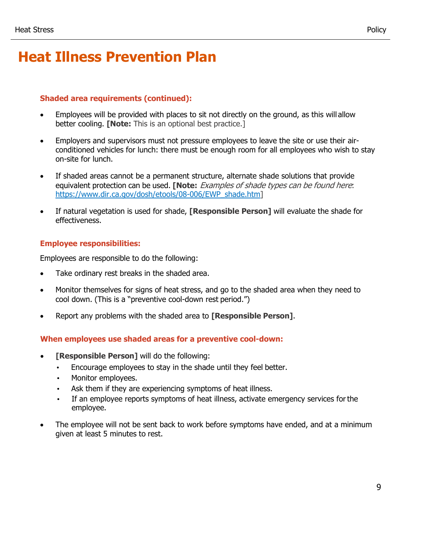### **Shaded area requirements (continued):**

- Employees will be provided with places to sit not directly on the ground, as this will allow better cooling. **[Note:** This is an optional best practice.]
- Employers and supervisors must not pressure employees to leave the site or use their airconditioned vehicles for lunch: there must be enough room for all employees who wish to stay on-site for lunch.
- If shaded areas cannot be a permanent structure, alternate shade solutions that provide equivalent protection can be used. **[Note:** Examples of shade types can be found here[:](https://www.dir.ca.gov/dosh/etools/08-006/EWP_shade.htm) [https://www.dir.ca.gov/dosh/etools/08-006/EWP\\_shade.htm\]](https://www.dir.ca.gov/dosh/etools/08-006/EWP_shade.htm)
- If natural vegetation is used for shade, **[Responsible Person]** will evaluate the shade for effectiveness.

#### **Employee responsibilities:**

Employees are responsible to do the following:

- Take ordinary rest breaks in the shaded area.
- Monitor themselves for signs of heat stress, and go to the shaded area when they need to cool down. (This is a "preventive cool-down rest period.")
- Report any problems with the shaded area to **[Responsible Person]**.

#### **When employees use shaded areas for a preventive cool-down:**

- **[Responsible Person]** will do the following:
	- Encourage employees to stay in the shade until they feel better.
	- Monitor employees.
	- Ask them if they are experiencing symptoms of heat illness.
	- If an employee reports symptoms of heat illness, activate emergency services for the employee.
- The employee will not be sent back to work before symptoms have ended, and at a minimum given at least 5 minutes to rest.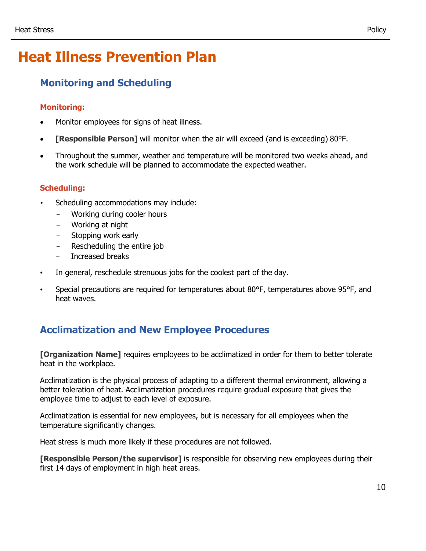## **Monitoring and Scheduling**

## **Monitoring:**

- Monitor employees for signs of heat illness.
- **[Responsible Person]** will monitor when the air will exceed (and is exceeding) 80°F.
- Throughout the summer, weather and temperature will be monitored two weeks ahead, and the work schedule will be planned to accommodate the expected weather.

## **Scheduling:**

- Scheduling accommodations may include:
	- Working during cooler hours
	- Working at night
	- Stopping work early
	- Rescheduling the entire job
	- Increased breaks
- In general, reschedule strenuous jobs for the coolest part of the day.
- Special precautions are required for temperatures about 80°F, temperatures above 95°F, and heat waves.

## **Acclimatization and New Employee Procedures**

**[Organization Name]** requires employees to be acclimatized in order for them to better tolerate heat in the workplace.

Acclimatization is the physical process of adapting to a different thermal environment, allowing a better toleration of heat. Acclimatization procedures require gradual exposure that gives the employee time to adjust to each level of exposure.

Acclimatization is essential for new employees, but is necessary for all employees when the temperature significantly changes.

Heat stress is much more likely if these procedures are not followed.

**[Responsible Person/the supervisor]** is responsible for observing new employees during their first 14 days of employment in high heat areas.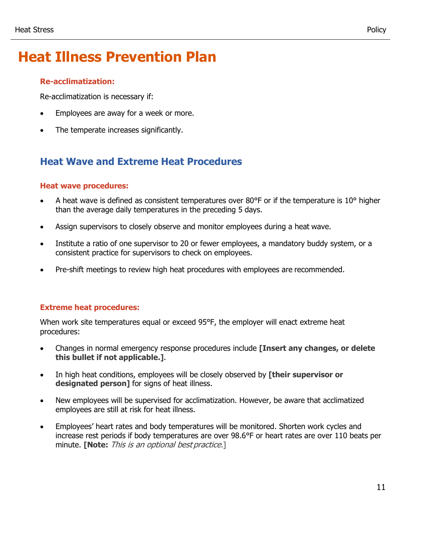### **Re-acclimatization:**

Re-acclimatization is necessary if:

- Employees are away for a week or more.
- The temperate increases significantly.

## **Heat Wave and Extreme Heat Procedures**

### **Heat wave procedures:**

- A heat wave is defined as consistent temperatures over 80°F or if the temperature is 10° higher than the average daily temperatures in the preceding 5 days.
- Assign supervisors to closely observe and monitor employees during a heat wave.
- Institute a ratio of one supervisor to 20 or fewer employees, a mandatory buddy system, or a consistent practice for supervisors to check on employees.
- Pre-shift meetings to review high heat procedures with employees are recommended.

### **Extreme heat procedures:**

When work site temperatures equal or exceed 95°F, the employer will enact extreme heat procedures:

- Changes in normal emergency response procedures include **[Insert any changes, or delete this bullet if not applicable.]**.
- In high heat conditions, employees will be closely observed by **[their supervisor or designated person1** for signs of heat illness.
- New employees will be supervised for acclimatization. However, be aware that acclimatized employees are still at risk for heat illness.
- Employees' heart rates and body temperatures will be monitored. Shorten work cycles and increase rest periods if body temperatures are over 98.6°F or heart rates are over 110 beats per minute. **[Note:** This is an optional best practice.]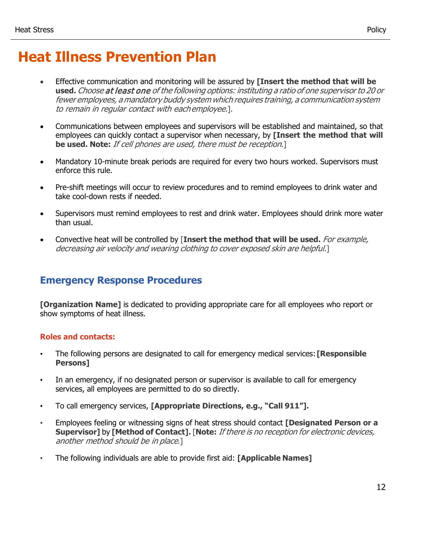- Effective communication and monitoring will be assured by **[Insert the method that will be used.** Choose at least one of the following options: instituting <sup>a</sup> ratio of one supervisor to 20 or fewer employees, <sup>a</sup> mandatory buddy system which requires training, <sup>a</sup> communication system to remain in regular contact with eachemployee.].
- Communications between employees and supervisors will be established and maintained, so that employees can quickly contact a supervisor when necessary, by **[Insert the method that will be used. Note:** If cell phones are used, there must be reception.]
- Mandatory 10-minute break periods are required for every two hours worked. Supervisors must enforce this rule.
- Pre-shift meetings will occur to review procedures and to remind employees to drink water and take cool-down rests if needed.
- Supervisors must remind employees to rest and drink water. Employees should drink more water than usual.
- Convective heat will be controlled by [**Insert the method that will be used.** For example, decreasing air velocity and wearing clothing to cover exposed skin are helpful.]

## **Emergency Response Procedures**

**[Organization Name]** is dedicated to providing appropriate care for all employees who report or show symptoms of heat illness.

### **Roles and contacts:**

- The following persons are designated to call for emergency medical services: **[Responsible Persons]**
- In an emergency, if no designated person or supervisor is available to call for emergency services, all employees are permitted to do so directly.
- To call emergency services, **[Appropriate Directions, e.g., "Call 911"].**
- Employees feeling or witnessing signs of heat stress should contact **[Designated Person or a Supervisor]** by **[Method of Contact].** [**Note:** If there is no reception for electronic devices, another method should be in place.]
- The following individuals are able to provide first aid: **[Applicable Names]**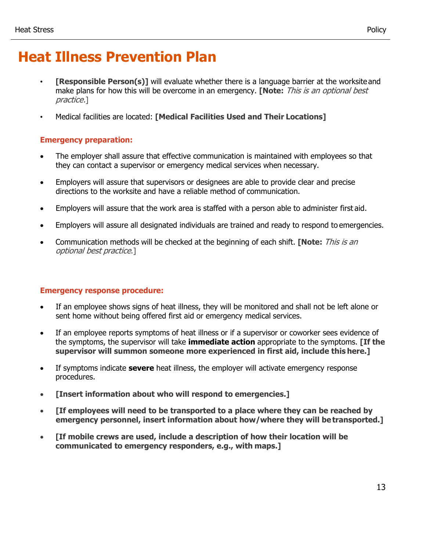- **[Responsible Person(s)]** will evaluate whether there is a language barrier at the worksite and make plans for how this will be overcome in an emergency. **[Note:** This is an optional best practice.]
- Medical facilities are located: **[Medical Facilities Used and Their Locations]**

### **Emergency preparation:**

- The employer shall assure that effective communication is maintained with employees so that they can contact a supervisor or emergency medical services when necessary.
- Employers will assure that supervisors or designees are able to provide clear and precise directions to the worksite and have a reliable method of communication.
- Employers will assure that the work area is staffed with a person able to administer first aid.
- Employers will assure all designated individuals are trained and ready to respond to emergencies.
- Communication methods will be checked at the beginning of each shift. **[Note:** This is an optional best practice.]

#### **Emergency response procedure:**

- If an employee shows signs of heat illness, they will be monitored and shall not be left alone or sent home without being offered first aid or emergency medical services.
- If an employee reports symptoms of heat illness or if a supervisor or coworker sees evidence of the symptoms, the supervisor will take **immediate action** appropriate to the symptoms. **[If the supervisor will summon someone more experienced in first aid, include this here.]**
- If symptoms indicate **severe** heat illness, the employer will activate emergency response procedures.
- **[Insert information about who will respond to emergencies.]**
- **[If employees will need to be transported to a place where they can be reached by emergency personnel, insert information about how/where they will betransported.]**
- **[If mobile crews are used, include a description of how their location will be communicated to emergency responders, e.g., with maps.]**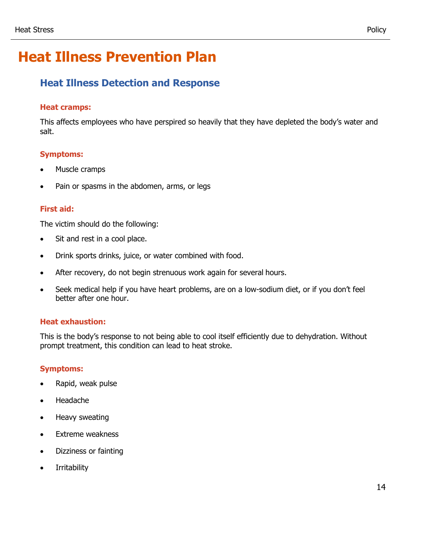## **Heat Illness Detection and Response**

### **Heat cramps:**

This affects employees who have perspired so heavily that they have depleted the body's water and salt.

## **Symptoms:**

- Muscle cramps
- Pain or spasms in the abdomen, arms, or legs

### **First aid:**

The victim should do the following:

- Sit and rest in a cool place.
- Drink sports drinks, juice, or water combined with food.
- After recovery, do not begin strenuous work again for several hours.
- Seek medical help if you have heart problems, are on a low-sodium diet, or if you don't feel better after one hour.

### **Heat exhaustion:**

This is the body's response to not being able to cool itself efficiently due to dehydration. Without prompt treatment, this condition can lead to heat stroke.

### **Symptoms:**

- Rapid, weak pulse
- Headache
- Heavy sweating
- Extreme weakness
- Dizziness or fainting
- Irritability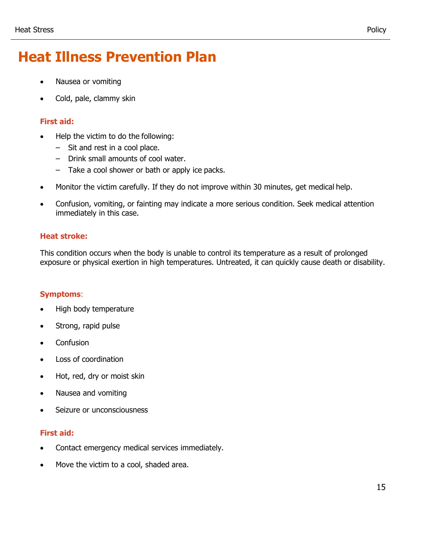- Nausea or vomiting
- Cold, pale, clammy skin

## **First aid:**

- Help the victim to do the following:
	- Sit and rest in a cool place.
	- Drink small amounts of cool water.
	- Take a cool shower or bath or apply ice packs.
- Monitor the victim carefully. If they do not improve within 30 minutes, get medical help.
- Confusion, vomiting, or fainting may indicate a more serious condition. Seek medical attention immediately in this case.

### **Heat stroke:**

This condition occurs when the body is unable to control its temperature as a result of prolonged exposure or physical exertion in high temperatures. Untreated, it can quickly cause death or disability.

## **Symptoms**:

- High body temperature
- Strong, rapid pulse
- Confusion
- Loss of coordination
- Hot, red, dry or moist skin
- Nausea and vomiting
- Seizure or unconsciousness

## **First aid:**

- Contact emergency medical services immediately.
- Move the victim to a cool, shaded area.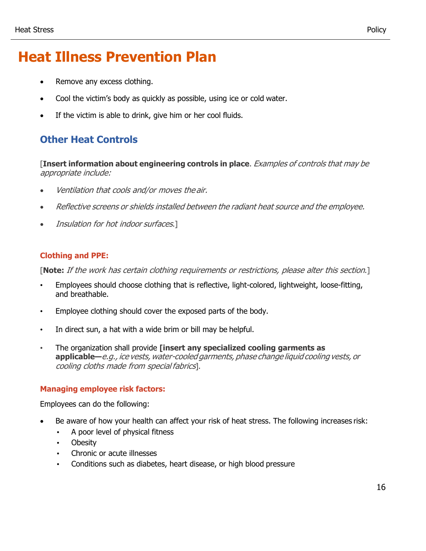- Remove any excess clothing.
- Cool the victim's body as quickly as possible, using ice or cold water.
- If the victim is able to drink, give him or her cool fluids.

## **Other Heat Controls**

[**Insert information about engineering controls in place**. Examples of controls that may be appropriate include:

- Ventilation that cools and/or moves the air.
- Reflective screens or shields installed between the radiant heat source and the employee.
- Insulation for hot indoor surfaces.]

### **Clothing and PPE:**

[**Note:** If the work has certain clothing requirements or restrictions, please alter this section.]

- Employees should choose clothing that is reflective, light-colored, lightweight, loose-fitting, and breathable.
- Employee clothing should cover the exposed parts of the body.
- In direct sun, a hat with a wide brim or bill may be helpful.
- The organization shall provide **[insert any specialized cooling garments as applicable—**e.g., ice vests,water-cooled garments, phase change liquid cooling vests, or cooling cloths made from special fabrics].

### **Managing employee risk factors:**

Employees can do the following:

- Be aware of how your health can affect your risk of heat stress. The following increases risk:
	- A poor level of physical fitness
	- Obesity
	- Chronic or acute illnesses
	- Conditions such as diabetes, heart disease, or high blood pressure